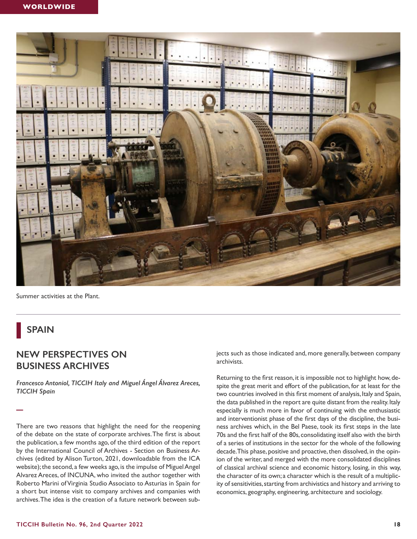

Summer activities at the Plant.

## **SPAIN**

**—**

## **NEW PERSPECTIVES ON BUSINESS ARCHIVES**

*Francesco Antoniol, TICCIH Italy and Miguel Ángel Álvarez Areces, TICCIH Spain* 

There are two reasons that highlight the need for the reopening of the debate on the state of corporate archives. The frst is about the publication, a few months ago, of the third edition of the report by the International Council of Archives - Section on Business Archives (edited by Alison Turton, 2021, downloadable from the ICA website); the second, a few weeks ago, is the impulse of Miguel Angel Alvarez Areces, of INCUNA, who invited the author together with Roberto Marini of Virginia Studio Associato to Asturias in Spain for a short but intense visit to company archives and companies with archives. The idea is the creation of a future network between subjects such as those indicated and, more generally, between company archivists.

Returning to the frst reason, it is impossible not to highlight how, despite the great merit and effort of the publication, for at least for the two countries involved in this frst moment of analysis, Italy and Spain, the data published in the report are quite distant from the reality. Italy especially is much more in favor of continuing with the enthusiastic and interventionist phase of the frst days of the discipline, the business archives which, in the Bel Paese, took its frst steps in the late 70s and the frst half of the 80s, consolidating itself also with the birth of a series of institutions in the sector for the whole of the following decade. This phase, positive and proactive, then dissolved, in the opinion of the writer, and merged with the more consolidated disciplines of classical archival science and economic history, losing, in this way, the character of its own; a character which is the result of a multiplicity of sensitivities, starting from archivistics and history and arriving to economics, geography, engineering, architecture and sociology.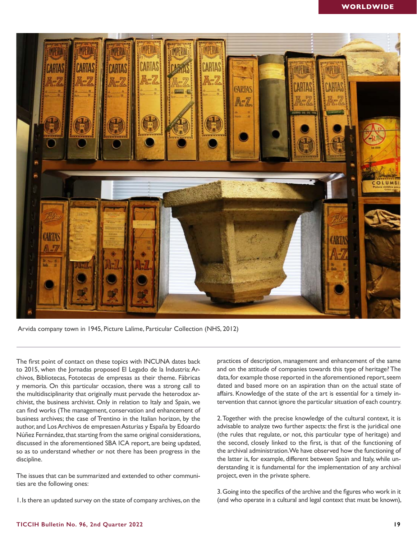

Arvida company town in 1945, Picture Lalime, Particular Collection (NHS, 2012)

The frst point of contact on these topics with INCUNA dates back to 2015, when the Jornadas proposed El Legado de la Industria: Archivos, Bibliotecas, Fototecas de empresas as their theme. Fàbricas y memoria. On this particular occasion, there was a strong call to the multidisciplinarity that originally must pervade the heterodox archivist, the business archivist. Only in relation to Italy and Spain, we can fnd works (The management, conservation and enhancement of business archives; the case of Trentino in the Italian horizon, by the author, and Los Archivos de empresaen Asturias y España by Edoardo Núñez Fernández, that starting from the same original considerations, discussed in the aforementioned SBA ICA report, are being updated, so as to understand whether or not there has been progress in the discipline.

The issues that can be summarized and extended to other communities are the following ones:

1. Is there an updated survey on the state of company archives, on the

practices of description, management and enhancement of the same and on the attitude of companies towards this type of heritage? The data, for example those reported in the aforementioned report, seem dated and based more on an aspiration than on the actual state of affairs. Knowledge of the state of the art is essential for a timely intervention that cannot ignore the particular situation of each country.

2. Together with the precise knowledge of the cultural context, it is advisable to analyze two further aspects: the first is the juridical one (the rules that regulate, or not, this particular type of heritage) and the second, closely linked to the first, is that of the functioning of the archival administration. We have observed how the functioning of the latter is, for example, different between Spain and Italy, while understanding it is fundamental for the implementation of any archival project, even in the private sphere.

3. Going into the specifcs of the archive and the fgures who work in it (and who operate in a cultural and legal context that must be known),